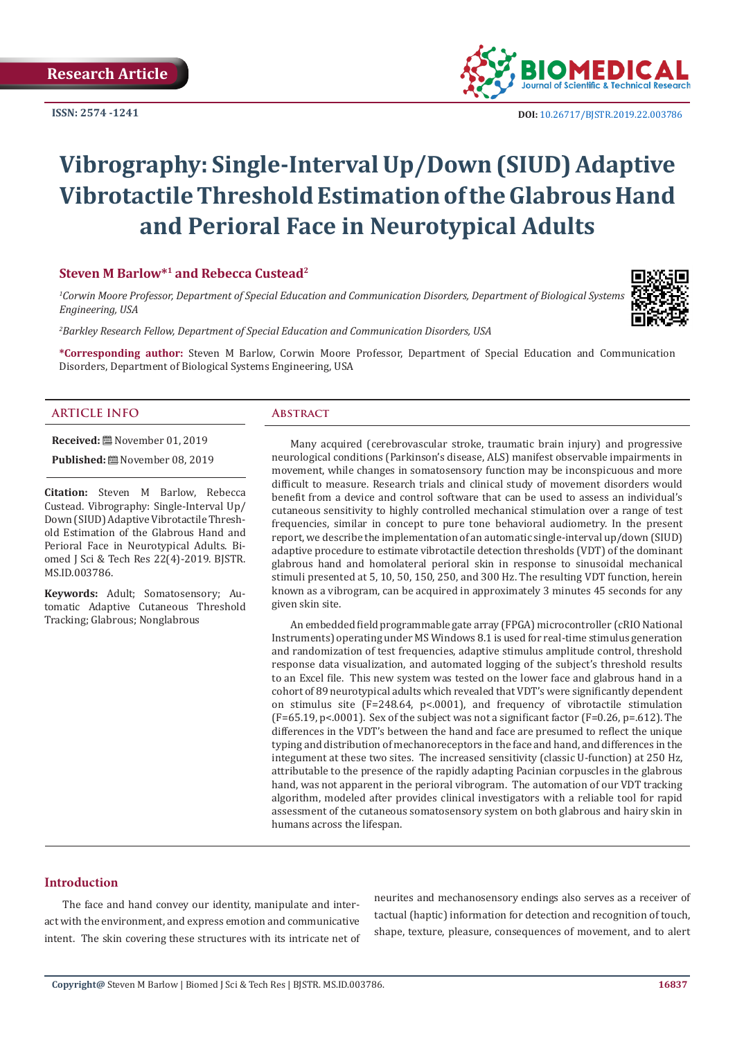**ISSN: 2574 -1241**



 **DOI:** [10.26717/BJSTR.2019.22.0037](http://dx.doi.org/10.26717/BJSTR.2019.22.003786)86

# **Vibrography: Single-Interval Up/Down (SIUD) Adaptive Vibrotactile Threshold Estimation of the Glabrous Hand and Perioral Face in Neurotypical Adults**

#### **Steven M Barlow\*1 and Rebecca Custead2**

*1 Corwin Moore Professor, Department of Special Education and Communication Disorders, Department of Biological Systems Engineering, USA*

*2 Barkley Research Fellow, Department of Special Education and Communication Disorders, USA*

**\*Corresponding author:** Steven M Barlow, Corwin Moore Professor, Department of Special Education and Communication Disorders, Department of Biological Systems Engineering, USA

# **ARTICLE INFO Abstract**

**Received:** November 01, 2019

**Published:** November 08, 2019

**Citation:** Steven M Barlow, Rebecca Custead. Vibrography: Single-Interval Up/ Down (SIUD) Adaptive Vibrotactile Threshold Estimation of the Glabrous Hand and Perioral Face in Neurotypical Adults. Biomed J Sci & Tech Res 22(4)-2019. BJSTR. MS.ID.003786.

**Keywords:** Adult; Somatosensory; Automatic Adaptive Cutaneous Threshold Tracking; Glabrous; Nonglabrous

Many acquired (cerebrovascular stroke, traumatic brain injury) and progressive neurological conditions (Parkinson's disease, ALS) manifest observable impairments in movement, while changes in somatosensory function may be inconspicuous and more difficult to measure. Research trials and clinical study of movement disorders would benefit from a device and control software that can be used to assess an individual's cutaneous sensitivity to highly controlled mechanical stimulation over a range of test frequencies, similar in concept to pure tone behavioral audiometry. In the present report, we describe the implementation of an automatic single-interval up/down (SIUD) adaptive procedure to estimate vibrotactile detection thresholds (VDT) of the dominant glabrous hand and homolateral perioral skin in response to sinusoidal mechanical stimuli presented at 5, 10, 50, 150, 250, and 300 Hz. The resulting VDT function, herein known as a vibrogram, can be acquired in approximately 3 minutes 45 seconds for any given skin site.

An embedded field programmable gate array (FPGA) microcontroller (cRIO National Instruments) operating under MS Windows 8.1 is used for real-time stimulus generation and randomization of test frequencies, adaptive stimulus amplitude control, threshold response data visualization, and automated logging of the subject's threshold results to an Excel file. This new system was tested on the lower face and glabrous hand in a cohort of 89 neurotypical adults which revealed that VDT's were significantly dependent on stimulus site (F=248.64, p<.0001), and frequency of vibrotactile stimulation  $(F=65.19, p<.0001)$ . Sex of the subject was not a significant factor  $(F=0.26, p=.612)$ . The differences in the VDT's between the hand and face are presumed to reflect the unique typing and distribution of mechanoreceptors in the face and hand, and differences in the integument at these two sites. The increased sensitivity (classic U-function) at 250 Hz, attributable to the presence of the rapidly adapting Pacinian corpuscles in the glabrous hand, was not apparent in the perioral vibrogram. The automation of our VDT tracking algorithm, modeled after provides clinical investigators with a reliable tool for rapid assessment of the cutaneous somatosensory system on both glabrous and hairy skin in humans across the lifespan.

# **Introduction**

The face and hand convey our identity, manipulate and interact with the environment, and express emotion and communicative intent. The skin covering these structures with its intricate net of neurites and mechanosensory endings also serves as a receiver of tactual (haptic) information for detection and recognition of touch, shape, texture, pleasure, consequences of movement, and to alert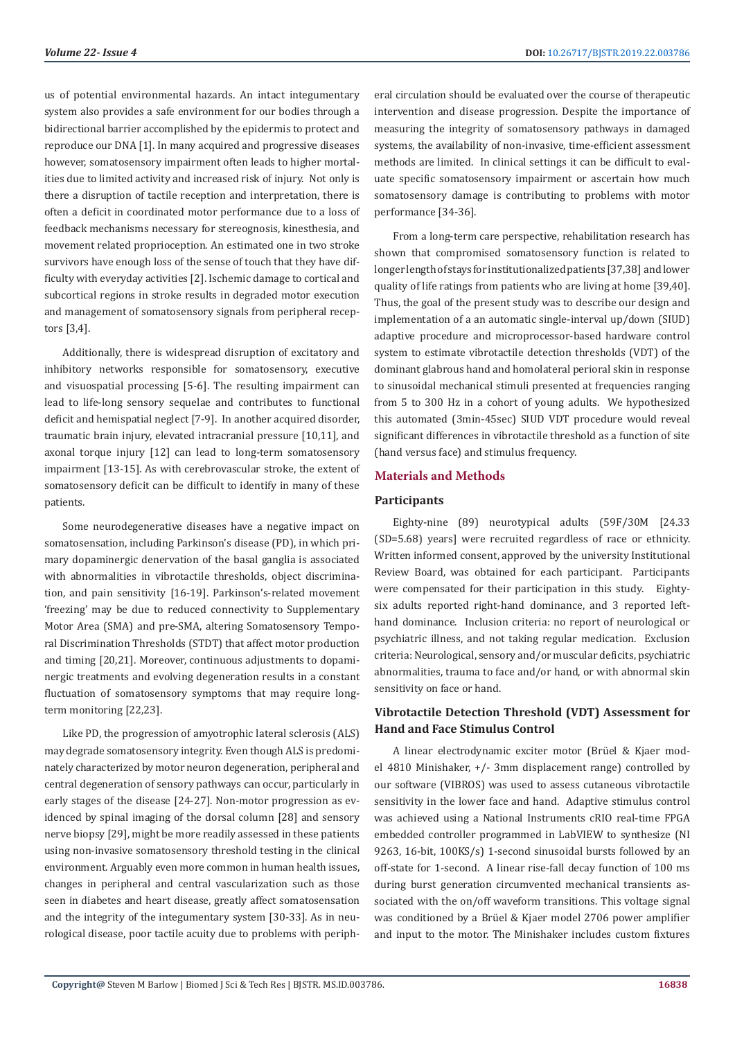us of potential environmental hazards. An intact integumentary system also provides a safe environment for our bodies through a bidirectional barrier accomplished by the epidermis to protect and reproduce our DNA [1]. In many acquired and progressive diseases however, somatosensory impairment often leads to higher mortalities due to limited activity and increased risk of injury. Not only is there a disruption of tactile reception and interpretation, there is often a deficit in coordinated motor performance due to a loss of feedback mechanisms necessary for stereognosis, kinesthesia, and movement related proprioception. An estimated one in two stroke survivors have enough loss of the sense of touch that they have difficulty with everyday activities [2]. Ischemic damage to cortical and subcortical regions in stroke results in degraded motor execution and management of somatosensory signals from peripheral receptors [3,4].

Additionally, there is widespread disruption of excitatory and inhibitory networks responsible for somatosensory, executive and visuospatial processing [5-6]. The resulting impairment can lead to life-long sensory sequelae and contributes to functional deficit and hemispatial neglect [7-9]. In another acquired disorder, traumatic brain injury, elevated intracranial pressure [10,11], and axonal torque injury [12] can lead to long-term somatosensory impairment [13-15]. As with cerebrovascular stroke, the extent of somatosensory deficit can be difficult to identify in many of these patients.

Some neurodegenerative diseases have a negative impact on somatosensation, including Parkinson's disease (PD), in which primary dopaminergic denervation of the basal ganglia is associated with abnormalities in vibrotactile thresholds, object discrimination, and pain sensitivity [16-19]. Parkinson's-related movement 'freezing' may be due to reduced connectivity to Supplementary Motor Area (SMA) and pre-SMA, altering Somatosensory Temporal Discrimination Thresholds (STDT) that affect motor production and timing [20,21]. Moreover, continuous adjustments to dopaminergic treatments and evolving degeneration results in a constant fluctuation of somatosensory symptoms that may require longterm monitoring [22,23].

Like PD, the progression of amyotrophic lateral sclerosis (ALS) may degrade somatosensory integrity. Even though ALS is predominately characterized by motor neuron degeneration, peripheral and central degeneration of sensory pathways can occur, particularly in early stages of the disease [24-27]. Non-motor progression as evidenced by spinal imaging of the dorsal column [28] and sensory nerve biopsy [29], might be more readily assessed in these patients using non-invasive somatosensory threshold testing in the clinical environment. Arguably even more common in human health issues, changes in peripheral and central vascularization such as those seen in diabetes and heart disease, greatly affect somatosensation and the integrity of the integumentary system [30-33]. As in neurological disease, poor tactile acuity due to problems with peripheral circulation should be evaluated over the course of therapeutic intervention and disease progression. Despite the importance of measuring the integrity of somatosensory pathways in damaged systems, the availability of non-invasive, time-efficient assessment methods are limited. In clinical settings it can be difficult to evaluate specific somatosensory impairment or ascertain how much somatosensory damage is contributing to problems with motor performance [34-36].

From a long-term care perspective, rehabilitation research has shown that compromised somatosensory function is related to longer length of stays for institutionalized patients [37,38] and lower quality of life ratings from patients who are living at home [39,40]. Thus, the goal of the present study was to describe our design and implementation of a an automatic single-interval up/down (SIUD) adaptive procedure and microprocessor-based hardware control system to estimate vibrotactile detection thresholds (VDT) of the dominant glabrous hand and homolateral perioral skin in response to sinusoidal mechanical stimuli presented at frequencies ranging from 5 to 300 Hz in a cohort of young adults. We hypothesized this automated (3min-45sec) SIUD VDT procedure would reveal significant differences in vibrotactile threshold as a function of site (hand versus face) and stimulus frequency.

# **Materials and Methods**

#### **Participants**

Eighty-nine (89) neurotypical adults (59F/30M [24.33 (SD=5.68) years] were recruited regardless of race or ethnicity. Written informed consent, approved by the university Institutional Review Board, was obtained for each participant. Participants were compensated for their participation in this study. Eightysix adults reported right-hand dominance, and 3 reported lefthand dominance. Inclusion criteria: no report of neurological or psychiatric illness, and not taking regular medication. Exclusion criteria: Neurological, sensory and/or muscular deficits, psychiatric abnormalities, trauma to face and/or hand, or with abnormal skin sensitivity on face or hand.

# **Vibrotactile Detection Threshold (VDT) Assessment for Hand and Face Stimulus Control**

A linear electrodynamic exciter motor (Brüel & Kjaer model 4810 Minishaker, +/- 3mm displacement range) controlled by our software (VIBROS) was used to assess cutaneous vibrotactile sensitivity in the lower face and hand. Adaptive stimulus control was achieved using a National Instruments cRIO real-time FPGA embedded controller programmed in LabVIEW to synthesize (NI 9263, 16-bit, 100KS/s) 1-second sinusoidal bursts followed by an off-state for 1-second. A linear rise-fall decay function of 100 ms during burst generation circumvented mechanical transients associated with the on/off waveform transitions. This voltage signal was conditioned by a Brüel & Kjaer model 2706 power amplifier and input to the motor. The Minishaker includes custom fixtures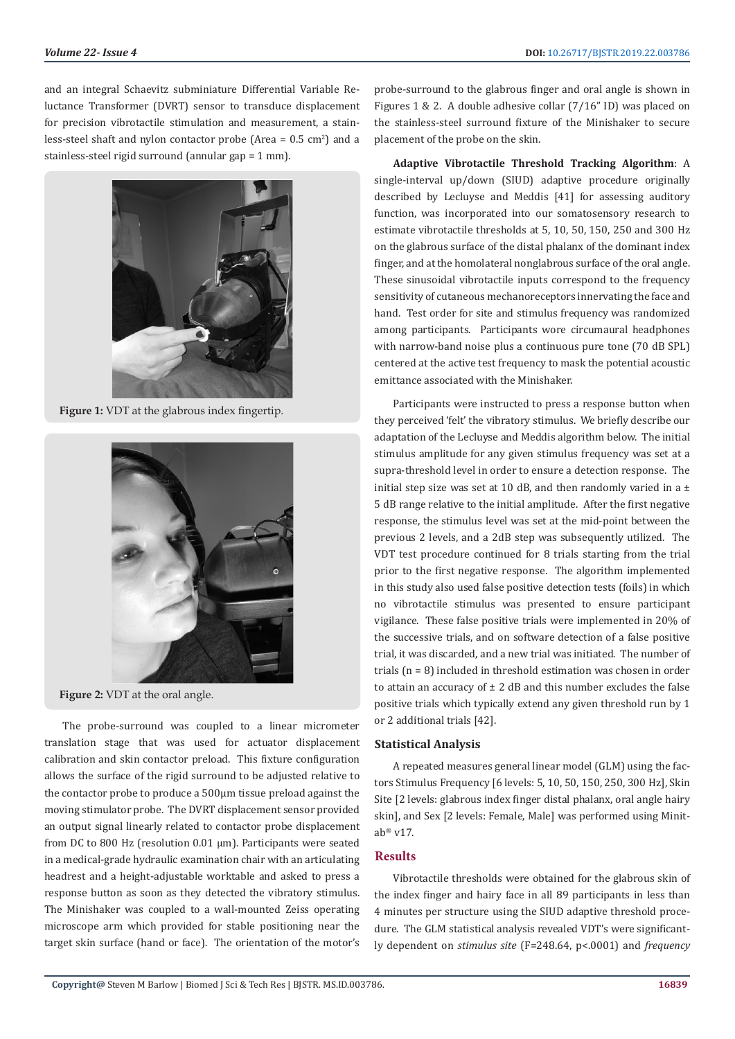and an integral Schaevitz subminiature Differential Variable Reluctance Transformer (DVRT) sensor to transduce displacement for precision vibrotactile stimulation and measurement, a stainless-steel shaft and nylon contactor probe (Area  $= 0.5 \text{ cm}^2$ ) and a stainless-steel rigid surround (annular gap = 1 mm).



**Figure 1:** VDT at the glabrous index fingertip.



**Figure 2:** VDT at the oral angle.

The probe-surround was coupled to a linear micrometer translation stage that was used for actuator displacement calibration and skin contactor preload. This fixture configuration allows the surface of the rigid surround to be adjusted relative to the contactor probe to produce a 500µm tissue preload against the moving stimulator probe. The DVRT displacement sensor provided an output signal linearly related to contactor probe displacement from DC to 800 Hz (resolution 0.01 µm). Participants were seated in a medical-grade hydraulic examination chair with an articulating headrest and a height-adjustable worktable and asked to press a response button as soon as they detected the vibratory stimulus. The Minishaker was coupled to a wall-mounted Zeiss operating microscope arm which provided for stable positioning near the target skin surface (hand or face). The orientation of the motor's probe-surround to the glabrous finger and oral angle is shown in Figures 1 & 2. A double adhesive collar (7/16" ID) was placed on the stainless-steel surround fixture of the Minishaker to secure placement of the probe on the skin.

**Adaptive Vibrotactile Threshold Tracking Algorithm**: A single-interval up/down (SIUD) adaptive procedure originally described by Lecluyse and Meddis [41] for assessing auditory function, was incorporated into our somatosensory research to estimate vibrotactile thresholds at 5, 10, 50, 150, 250 and 300 Hz on the glabrous surface of the distal phalanx of the dominant index finger, and at the homolateral nonglabrous surface of the oral angle. These sinusoidal vibrotactile inputs correspond to the frequency sensitivity of cutaneous mechanoreceptors innervating the face and hand. Test order for site and stimulus frequency was randomized among participants. Participants wore circumaural headphones with narrow-band noise plus a continuous pure tone (70 dB SPL) centered at the active test frequency to mask the potential acoustic emittance associated with the Minishaker.

Participants were instructed to press a response button when they perceived 'felt' the vibratory stimulus. We briefly describe our adaptation of the Lecluyse and Meddis algorithm below. The initial stimulus amplitude for any given stimulus frequency was set at a supra-threshold level in order to ensure a detection response. The initial step size was set at 10 dB, and then randomly varied in a  $\pm$ 5 dB range relative to the initial amplitude. After the first negative response, the stimulus level was set at the mid-point between the previous 2 levels, and a 2dB step was subsequently utilized. The VDT test procedure continued for 8 trials starting from the trial prior to the first negative response. The algorithm implemented in this study also used false positive detection tests (foils) in which no vibrotactile stimulus was presented to ensure participant vigilance. These false positive trials were implemented in 20% of the successive trials, and on software detection of a false positive trial, it was discarded, and a new trial was initiated. The number of trials (n = 8) included in threshold estimation was chosen in order to attain an accuracy of  $\pm$  2 dB and this number excludes the false positive trials which typically extend any given threshold run by 1 or 2 additional trials [42].

# **Statistical Analysis**

A repeated measures general linear model (GLM) using the factors Stimulus Frequency [6 levels: 5, 10, 50, 150, 250, 300 Hz], Skin Site [2 levels: glabrous index finger distal phalanx, oral angle hairy skin], and Sex [2 levels: Female, Male] was performed using Minitab® v17.

# **Results**

Vibrotactile thresholds were obtained for the glabrous skin of the index finger and hairy face in all 89 participants in less than 4 minutes per structure using the SIUD adaptive threshold procedure. The GLM statistical analysis revealed VDT's were significantly dependent on *stimulus site* (F=248.64, p<.0001) and *frequency*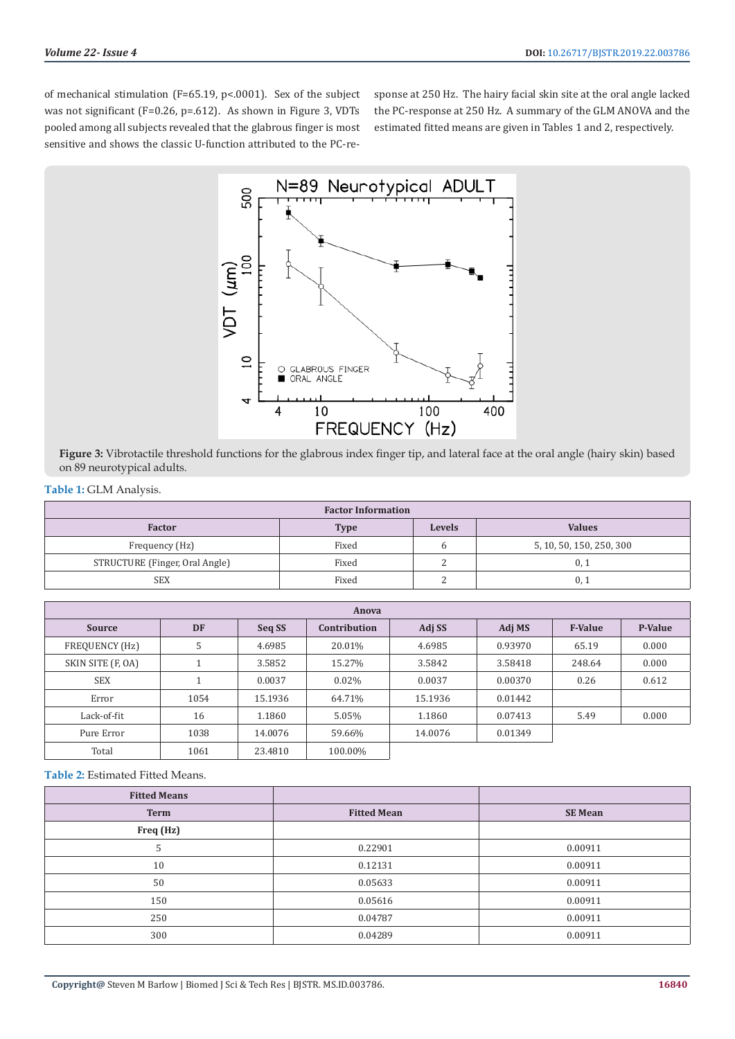of mechanical stimulation (F=65.19, p<.0001). Sex of the subject was not significant (F=0.26, p=.612). As shown in Figure 3, VDTs pooled among all subjects revealed that the glabrous finger is most sensitive and shows the classic U-function attributed to the PC-response at 250 Hz. The hairy facial skin site at the oral angle lacked the PC-response at 250 Hz. A summary of the GLM ANOVA and the estimated fitted means are given in Tables 1 and 2, respectively.



**Figure 3:** Vibrotactile threshold functions for the glabrous index finger tip, and lateral face at the oral angle (hairy skin) based on 89 neurotypical adults.

**Table 1:** GLM Analysis.

| <b>Factor Information</b>      |             |               |                          |  |
|--------------------------------|-------------|---------------|--------------------------|--|
| <b>Factor</b>                  | <b>Type</b> | <b>Levels</b> | <b>Values</b>            |  |
| Frequency (Hz)                 | Fixed       |               | 5, 10, 50, 150, 250, 300 |  |
| STRUCTURE (Finger, Oral Angle) | Fixed       | ∸             | 0.1                      |  |
| <b>SEX</b>                     | Fixed       | ∼             | $0^{+}$                  |  |

| Anova             |           |         |              |         |         |                |                |
|-------------------|-----------|---------|--------------|---------|---------|----------------|----------------|
| <b>Source</b>     | <b>DF</b> | Seq SS  | Contribution | Adj SS  | Adj MS  | <b>F-Value</b> | <b>P-Value</b> |
| FREQUENCY (Hz)    | 5         | 4.6985  | 20.01%       | 4.6985  | 0.93970 | 65.19          | 0.000          |
| SKIN SITE (F, OA) |           | 3.5852  | 15.27%       | 3.5842  | 3.58418 | 248.64         | 0.000          |
| <b>SEX</b>        |           | 0.0037  | 0.02%        | 0.0037  | 0.00370 | 0.26           | 0.612          |
| Error             | 1054      | 15.1936 | 64.71%       | 15.1936 | 0.01442 |                |                |
| Lack-of-fit       | 16        | 1.1860  | 5.05%        | 1.1860  | 0.07413 | 5.49           | 0.000          |
| Pure Error        | 1038      | 14.0076 | 59.66%       | 14.0076 | 0.01349 |                |                |
| Total             | 1061      | 23.4810 | 100.00%      |         |         |                |                |

**Table 2:** Estimated Fitted Means.

| <b>Fitted Means</b> |                    |                |
|---------------------|--------------------|----------------|
| <b>Term</b>         | <b>Fitted Mean</b> | <b>SE Mean</b> |
| Freq (Hz)           |                    |                |
| C                   | 0.22901            | 0.00911        |
| 10                  | 0.12131            | 0.00911        |
| 50                  | 0.05633            | 0.00911        |
| 150                 | 0.05616            | 0.00911        |
| 250                 | 0.04787            | 0.00911        |
| 300                 | 0.04289            | 0.00911        |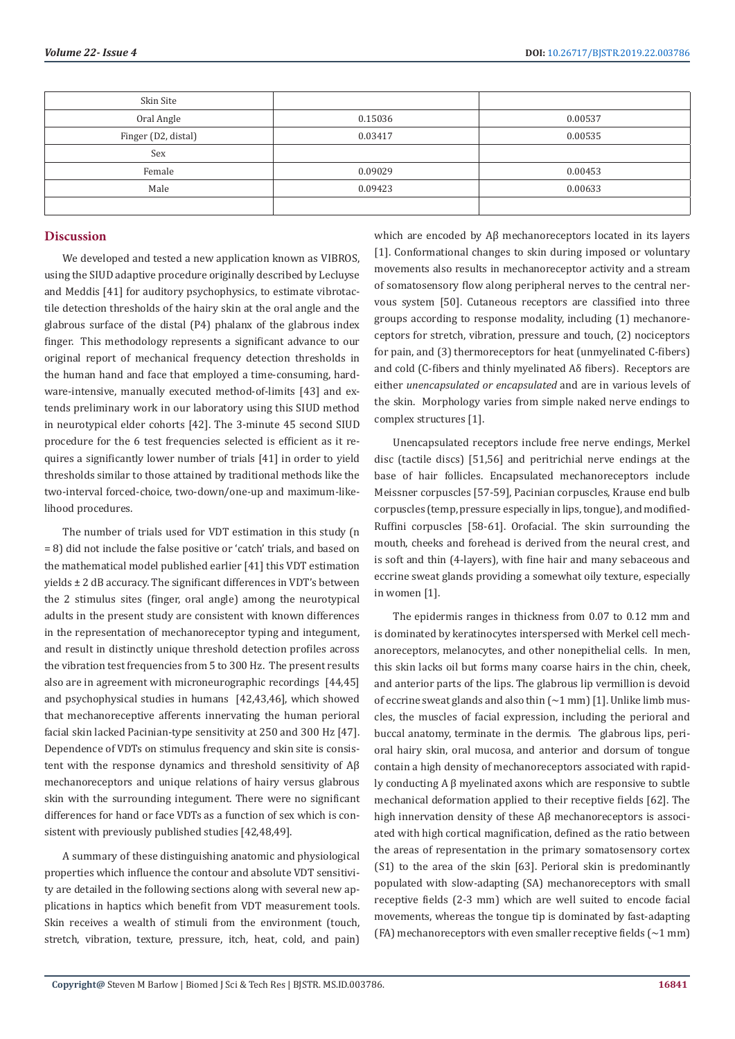| Skin Site           |         |         |
|---------------------|---------|---------|
| Oral Angle          | 0.15036 | 0.00537 |
| Finger (D2, distal) | 0.03417 | 0.00535 |
| Sex                 |         |         |
| Female              | 0.09029 | 0.00453 |
| Male                | 0.09423 | 0.00633 |
|                     |         |         |

# **Discussion**

We developed and tested a new application known as VIBROS, using the SIUD adaptive procedure originally described by Lecluyse and Meddis [41] for auditory psychophysics, to estimate vibrotactile detection thresholds of the hairy skin at the oral angle and the glabrous surface of the distal (P4) phalanx of the glabrous index finger. This methodology represents a significant advance to our original report of mechanical frequency detection thresholds in the human hand and face that employed a time-consuming, hardware-intensive, manually executed method-of-limits [43] and extends preliminary work in our laboratory using this SIUD method in neurotypical elder cohorts [42]. The 3-minute 45 second SIUD procedure for the 6 test frequencies selected is efficient as it requires a significantly lower number of trials [41] in order to yield thresholds similar to those attained by traditional methods like the two-interval forced-choice, two-down/one-up and maximum-likelihood procedures.

The number of trials used for VDT estimation in this study (n = 8) did not include the false positive or 'catch' trials, and based on the mathematical model published earlier [41] this VDT estimation yields ± 2 dB accuracy. The significant differences in VDT's between the 2 stimulus sites (finger, oral angle) among the neurotypical adults in the present study are consistent with known differences in the representation of mechanoreceptor typing and integument, and result in distinctly unique threshold detection profiles across the vibration test frequencies from 5 to 300 Hz. The present results also are in agreement with microneurographic recordings [44,45] and psychophysical studies in humans [42,43,46], which showed that mechanoreceptive afferents innervating the human perioral facial skin lacked Pacinian-type sensitivity at 250 and 300 Hz [47]. Dependence of VDTs on stimulus frequency and skin site is consistent with the response dynamics and threshold sensitivity of Aβ mechanoreceptors and unique relations of hairy versus glabrous skin with the surrounding integument. There were no significant differences for hand or face VDTs as a function of sex which is consistent with previously published studies [42,48,49].

A summary of these distinguishing anatomic and physiological properties which influence the contour and absolute VDT sensitivity are detailed in the following sections along with several new applications in haptics which benefit from VDT measurement tools. Skin receives a wealth of stimuli from the environment (touch, stretch, vibration, texture, pressure, itch, heat, cold, and pain) which are encoded by Aβ mechanoreceptors located in its layers [1]. Conformational changes to skin during imposed or voluntary movements also results in mechanoreceptor activity and a stream of somatosensory flow along peripheral nerves to the central nervous system [50]. Cutaneous receptors are classified into three groups according to response modality, including (1) mechanoreceptors for stretch, vibration, pressure and touch, (2) nociceptors for pain, and (3) thermoreceptors for heat (unmyelinated C-fibers) and cold (C-fibers and thinly myelinated Aδ fibers). Receptors are either *unencapsulated or encapsulated* and are in various levels of the skin. Morphology varies from simple naked nerve endings to complex structures [1].

Unencapsulated receptors include free nerve endings, Merkel disc (tactile discs) [51,56] and peritrichial nerve endings at the base of hair follicles. Encapsulated mechanoreceptors include Meissner corpuscles [57-59], Pacinian corpuscles, Krause end bulb corpuscles (temp, pressure especially in lips, tongue), and modified-Ruffini corpuscles [58-61]. Orofacial. The skin surrounding the mouth, cheeks and forehead is derived from the neural crest, and is soft and thin (4-layers), with fine hair and many sebaceous and eccrine sweat glands providing a somewhat oily texture, especially in women [1].

The epidermis ranges in thickness from 0.07 to 0.12 mm and is dominated by keratinocytes interspersed with Merkel cell mechanoreceptors, melanocytes, and other nonepithelial cells. In men, this skin lacks oil but forms many coarse hairs in the chin, cheek, and anterior parts of the lips. The glabrous lip vermillion is devoid of eccrine sweat glands and also thin  $\left(\sim\!1\,\text{mm}\right)$  [1]. Unlike limb muscles, the muscles of facial expression, including the perioral and buccal anatomy, terminate in the dermis. The glabrous lips, perioral hairy skin, oral mucosa, and anterior and dorsum of tongue contain a high density of mechanoreceptors associated with rapidly conducting A β myelinated axons which are responsive to subtle mechanical deformation applied to their receptive fields [62]. The high innervation density of these Aβ mechanoreceptors is associated with high cortical magnification, defined as the ratio between the areas of representation in the primary somatosensory cortex (S1) to the area of the skin [63]. Perioral skin is predominantly populated with slow-adapting (SA) mechanoreceptors with small receptive fields (2-3 mm) which are well suited to encode facial movements, whereas the tongue tip is dominated by fast-adapting (FA) mechanoreceptors with even smaller receptive fields  $(\sim 1 \text{ mm})$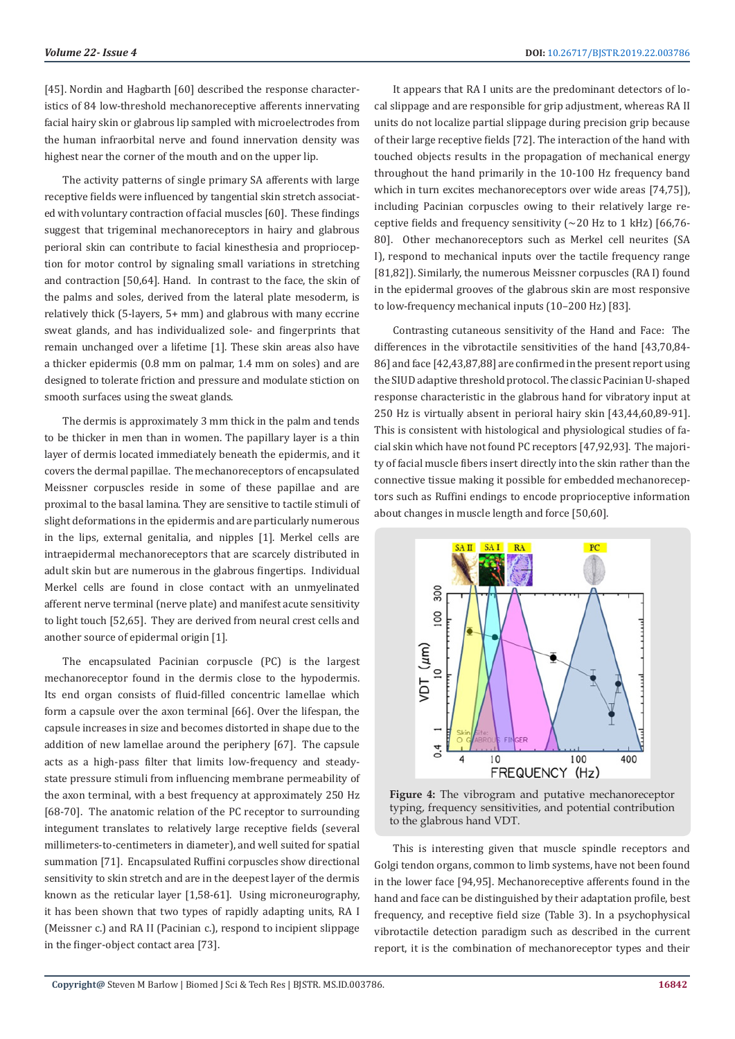[45]. Nordin and Hagbarth [60] described the response characteristics of 84 low-threshold mechanoreceptive afferents innervating facial hairy skin or glabrous lip sampled with microelectrodes from the human infraorbital nerve and found innervation density was highest near the corner of the mouth and on the upper lip.

The activity patterns of single primary SA afferents with large receptive fields were influenced by tangential skin stretch associated with voluntary contraction of facial muscles [60]. These findings suggest that trigeminal mechanoreceptors in hairy and glabrous perioral skin can contribute to facial kinesthesia and proprioception for motor control by signaling small variations in stretching and contraction [50,64]. Hand. In contrast to the face, the skin of the palms and soles, derived from the lateral plate mesoderm, is relatively thick (5-layers, 5+ mm) and glabrous with many eccrine sweat glands, and has individualized sole- and fingerprints that remain unchanged over a lifetime [1]. These skin areas also have a thicker epidermis (0.8 mm on palmar, 1.4 mm on soles) and are designed to tolerate friction and pressure and modulate stiction on smooth surfaces using the sweat glands.

The dermis is approximately 3 mm thick in the palm and tends to be thicker in men than in women. The papillary layer is a thin layer of dermis located immediately beneath the epidermis, and it covers the dermal papillae. The mechanoreceptors of encapsulated Meissner corpuscles reside in some of these papillae and are proximal to the basal lamina. They are sensitive to tactile stimuli of slight deformations in the epidermis and are particularly numerous in the lips, external genitalia, and nipples [1]. Merkel cells are intraepidermal mechanoreceptors that are scarcely distributed in adult skin but are numerous in the glabrous fingertips. Individual Merkel cells are found in close contact with an unmyelinated afferent nerve terminal (nerve plate) and manifest acute sensitivity to light touch [52,65]. They are derived from neural crest cells and another source of epidermal origin [1].

The encapsulated Pacinian corpuscle (PC) is the largest mechanoreceptor found in the dermis close to the hypodermis. Its end organ consists of fluid-filled concentric lamellae which form a capsule over the axon terminal [66]. Over the lifespan, the capsule increases in size and becomes distorted in shape due to the addition of new lamellae around the periphery [67]. The capsule acts as a high-pass filter that limits low-frequency and steadystate pressure stimuli from influencing membrane permeability of the axon terminal, with a best frequency at approximately 250 Hz [68-70]. The anatomic relation of the PC receptor to surrounding integument translates to relatively large receptive fields (several millimeters-to-centimeters in diameter), and well suited for spatial summation [71]. Encapsulated Ruffini corpuscles show directional sensitivity to skin stretch and are in the deepest layer of the dermis known as the reticular layer [1,58-61]. Using microneurography, it has been shown that two types of rapidly adapting units, RA I (Meissner c.) and RA II (Pacinian c.), respond to incipient slippage in the finger-object contact area [73].

It appears that RA I units are the predominant detectors of local slippage and are responsible for grip adjustment, whereas RA II units do not localize partial slippage during precision grip because of their large receptive fields [72]. The interaction of the hand with touched objects results in the propagation of mechanical energy throughout the hand primarily in the 10-100 Hz frequency band which in turn excites mechanoreceptors over wide areas [74,75]), including Pacinian corpuscles owing to their relatively large receptive fields and frequency sensitivity (∼20 Hz to 1 kHz) [66,76- 80]. Other mechanoreceptors such as Merkel cell neurites (SA I), respond to mechanical inputs over the tactile frequency range [81,82]). Similarly, the numerous Meissner corpuscles (RA I) found in the epidermal grooves of the glabrous skin are most responsive to low-frequency mechanical inputs (10–200 Hz) [83].

Contrasting cutaneous sensitivity of the Hand and Face: The differences in the vibrotactile sensitivities of the hand [43,70,84- 86] and face [42,43,87,88] are confirmed in the present report using the SIUD adaptive threshold protocol. The classic Pacinian U-shaped response characteristic in the glabrous hand for vibratory input at 250 Hz is virtually absent in perioral hairy skin [43,44,60,89-91]. This is consistent with histological and physiological studies of facial skin which have not found PC receptors [47,92,93]. The majority of facial muscle fibers insert directly into the skin rather than the connective tissue making it possible for embedded mechanoreceptors such as Ruffini endings to encode proprioceptive information about changes in muscle length and force [50,60].



**Figure 4:** The vibrogram and putative mechanoreceptor typing, frequency sensitivities, and potential contribution to the glabrous hand VDT.

This is interesting given that muscle spindle receptors and Golgi tendon organs, common to limb systems, have not been found in the lower face [94,95]. Mechanoreceptive afferents found in the hand and face can be distinguished by their adaptation profile, best frequency, and receptive field size (Table 3). In a psychophysical vibrotactile detection paradigm such as described in the current report, it is the combination of mechanoreceptor types and their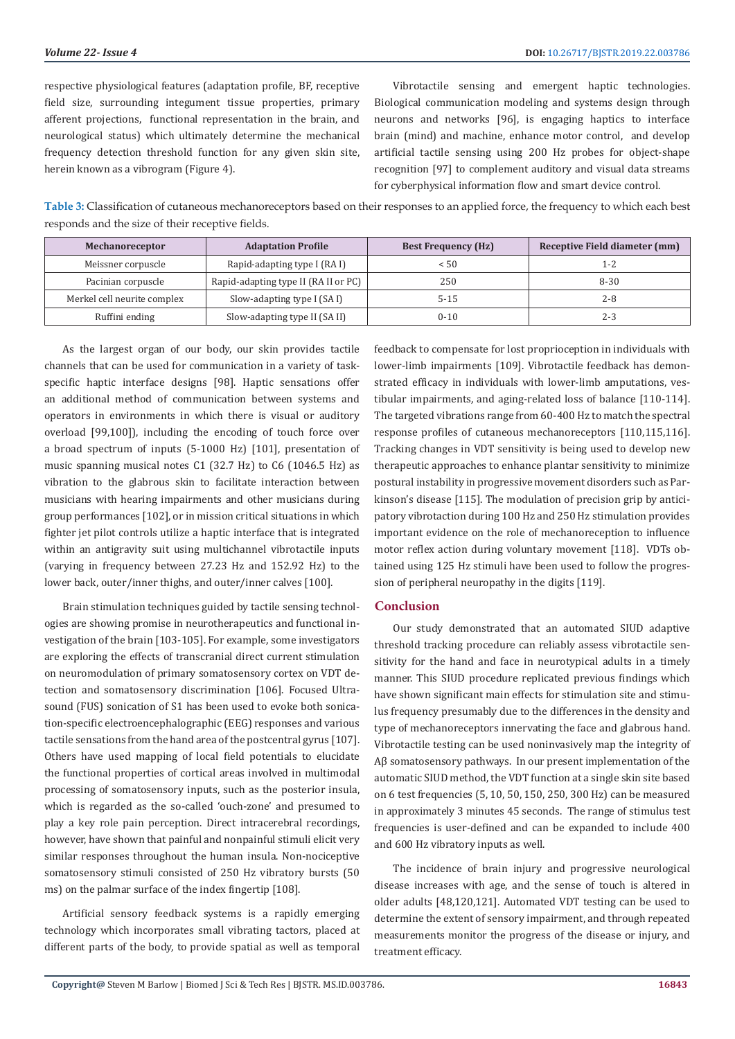respective physiological features (adaptation profile, BF, receptive field size, surrounding integument tissue properties, primary afferent projections, functional representation in the brain, and neurological status) which ultimately determine the mechanical frequency detection threshold function for any given skin site, herein known as a vibrogram (Figure 4).

Vibrotactile sensing and emergent haptic technologies. Biological communication modeling and systems design through neurons and networks [96], is engaging haptics to interface brain (mind) and machine, enhance motor control, and develop artificial tactile sensing using 200 Hz probes for object-shape recognition [97] to complement auditory and visual data streams for cyberphysical information flow and smart device control.

**Table 3:** Classification of cutaneous mechanoreceptors based on their responses to an applied force, the frequency to which each best responds and the size of their receptive fields.

| Mechanoreceptor             | <b>Adaptation Profile</b>            | <b>Best Frequency (Hz)</b> | Receptive Field diameter (mm) |
|-----------------------------|--------------------------------------|----------------------------|-------------------------------|
| Meissner corpuscle          | Rapid-adapting type I (RA I)         | < 50                       | 1-2                           |
| Pacinian corpuscle          | Rapid-adapting type II (RA II or PC) | 250                        | $8 - 30$                      |
| Merkel cell neurite complex | Slow-adapting type I (SA I)          | $5 - 15$                   | $2 - 8$                       |
| Ruffini ending              | Slow-adapting type II (SA II)        | $0 - 10$                   | $2 - 3$                       |

As the largest organ of our body, our skin provides tactile channels that can be used for communication in a variety of taskspecific haptic interface designs [98]. Haptic sensations offer an additional method of communication between systems and operators in environments in which there is visual or auditory overload [99,100]), including the encoding of touch force over a broad spectrum of inputs (5-1000 Hz) [101], presentation of music spanning musical notes C1 (32.7 Hz) to C6 (1046.5 Hz) as vibration to the glabrous skin to facilitate interaction between musicians with hearing impairments and other musicians during group performances [102], or in mission critical situations in which fighter jet pilot controls utilize a haptic interface that is integrated within an antigravity suit using multichannel vibrotactile inputs (varying in frequency between 27.23 Hz and 152.92 Hz) to the lower back, outer/inner thighs, and outer/inner calves [100].

Brain stimulation techniques guided by tactile sensing technologies are showing promise in neurotherapeutics and functional investigation of the brain [103-105]. For example, some investigators are exploring the effects of transcranial direct current stimulation on neuromodulation of primary somatosensory cortex on VDT detection and somatosensory discrimination [106]. Focused Ultrasound (FUS) sonication of S1 has been used to evoke both sonication-specific electroencephalographic (EEG) responses and various tactile sensations from the hand area of the postcentral gyrus [107]. Others have used mapping of local field potentials to elucidate the functional properties of cortical areas involved in multimodal processing of somatosensory inputs, such as the posterior insula, which is regarded as the so-called 'ouch-zone' and presumed to play a key role pain perception. Direct intracerebral recordings, however, have shown that painful and nonpainful stimuli elicit very similar responses throughout the human insula. Non-nociceptive somatosensory stimuli consisted of 250 Hz vibratory bursts (50 ms) on the palmar surface of the index fingertip [108].

Artificial sensory feedback systems is a rapidly emerging technology which incorporates small vibrating tactors, placed at different parts of the body, to provide spatial as well as temporal feedback to compensate for lost proprioception in individuals with lower-limb impairments [109]. Vibrotactile feedback has demonstrated efficacy in individuals with lower-limb amputations, vestibular impairments, and aging-related loss of balance [110-114]. The targeted vibrations range from 60-400 Hz to match the spectral response profiles of cutaneous mechanoreceptors [110,115,116]. Tracking changes in VDT sensitivity is being used to develop new therapeutic approaches to enhance plantar sensitivity to minimize postural instability in progressive movement disorders such as Parkinson's disease [115]. The modulation of precision grip by anticipatory vibrotaction during 100 Hz and 250 Hz stimulation provides important evidence on the role of mechanoreception to influence motor reflex action during voluntary movement [118]. VDTs obtained using 125 Hz stimuli have been used to follow the progression of peripheral neuropathy in the digits [119].

#### **Conclusion**

Our study demonstrated that an automated SIUD adaptive threshold tracking procedure can reliably assess vibrotactile sensitivity for the hand and face in neurotypical adults in a timely manner. This SIUD procedure replicated previous findings which have shown significant main effects for stimulation site and stimulus frequency presumably due to the differences in the density and type of mechanoreceptors innervating the face and glabrous hand. Vibrotactile testing can be used noninvasively map the integrity of Aβ somatosensory pathways. In our present implementation of the automatic SIUD method, the VDT function at a single skin site based on 6 test frequencies (5, 10, 50, 150, 250, 300 Hz) can be measured in approximately 3 minutes 45 seconds. The range of stimulus test frequencies is user-defined and can be expanded to include 400 and 600 Hz vibratory inputs as well.

The incidence of brain injury and progressive neurological disease increases with age, and the sense of touch is altered in older adults [48,120,121]. Automated VDT testing can be used to determine the extent of sensory impairment, and through repeated measurements monitor the progress of the disease or injury, and treatment efficacy.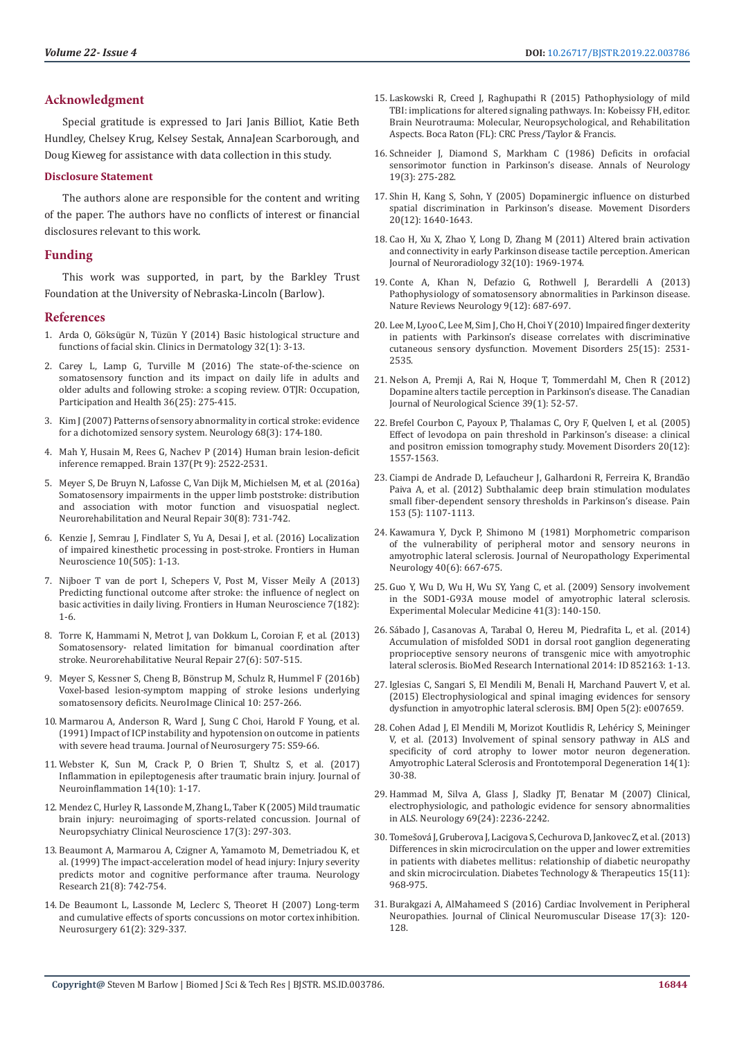# **Acknowledgment**

Special gratitude is expressed to Jari Janis Billiot, Katie Beth Hundley, Chelsey Krug, Kelsey Sestak, AnnaJean Scarborough, and Doug Kieweg for assistance with data collection in this study.

#### **Disclosure Statement**

The authors alone are responsible for the content and writing of the paper. The authors have no conflicts of interest or financial disclosures relevant to this work.

# **Funding**

This work was supported, in part, by the Barkley Trust Foundation at the University of Nebraska-Lincoln (Barlow).

#### **References**

- 1. Arda O, G[öksügür N, Tüzün Y \(2014\) Basic histological structure and](https://www.ncbi.nlm.nih.gov/pubmed/24314373)  [functions of facial skin. Clinics in Dermatology 32\(1\): 3-13.](https://www.ncbi.nlm.nih.gov/pubmed/24314373)
- 2. [Carey L, Lamp G, Turville M \(2016\) The state-of-the-science on](https://www.ncbi.nlm.nih.gov/pubmed/27504989)  [somatosensory function and its impact on daily life in adults and](https://www.ncbi.nlm.nih.gov/pubmed/27504989)  [older adults and following stroke: a scoping review. OTJR: Occupation,](https://www.ncbi.nlm.nih.gov/pubmed/27504989)  [Participation and Health 36\(25\): 275-415.](https://www.ncbi.nlm.nih.gov/pubmed/27504989)
- 3. [Kim J \(2007\) Patterns of sensory abnormality in cortical stroke: evidence](https://www.ncbi.nlm.nih.gov/pubmed/17224568)  [for a dichotomized sensory system. Neurology 68\(3\): 174-180.](https://www.ncbi.nlm.nih.gov/pubmed/17224568)
- 4. [Mah Y, Husain M, Rees G, Nachev P \(2014\) Human brain lesion-deficit](https://www.ncbi.nlm.nih.gov/pubmed/24974384)  [inference remapped. Brain 137\(Pt 9\): 2522-2531.](https://www.ncbi.nlm.nih.gov/pubmed/24974384)
- 5. [Meyer S, De Bruyn N, Lafosse C, Van Dijk M, Michielsen M, et al. \(2016a\)](https://www.ncbi.nlm.nih.gov/pubmed/26719352)  [Somatosensory impairments in the upper limb poststroke: distribution](https://www.ncbi.nlm.nih.gov/pubmed/26719352)  [and association with motor function and visuospatial neglect.](https://www.ncbi.nlm.nih.gov/pubmed/26719352)  [Neurorehabilitation and Neural Repair 30\(8\): 731-742.](https://www.ncbi.nlm.nih.gov/pubmed/26719352)
- 6. [Kenzie J, Semrau J, Findlater S, Yu A, Desai J, et al. \(2016\) Localization](https://www.ncbi.nlm.nih.gov/pubmed/27799902)  [of impaired kinesthetic processing in post-stroke. Frontiers in Human](https://www.ncbi.nlm.nih.gov/pubmed/27799902)  [Neuroscience 10\(505\): 1-13.](https://www.ncbi.nlm.nih.gov/pubmed/27799902)
- 7. [Nijboer T van de port I, Schepers V, Post M, Visser Meily A \(2013\)](https://www.ncbi.nlm.nih.gov/pmc/articles/PMC3650314/)  [Predicting functional outcome after stroke: the influence of neglect on](https://www.ncbi.nlm.nih.gov/pmc/articles/PMC3650314/)  [basic activities in daily living. Frontiers in Human Neuroscience 7\(182\):](https://www.ncbi.nlm.nih.gov/pmc/articles/PMC3650314/)  [1-6.](https://www.ncbi.nlm.nih.gov/pmc/articles/PMC3650314/)
- 8. [Torre K, Hammami N, Metrot J, van Dokkum L, Coroian F, et al. \(2013\)](https://www.ncbi.nlm.nih.gov/pubmed/23474542)  [Somatosensory- related limitation for bimanual coordination after](https://www.ncbi.nlm.nih.gov/pubmed/23474542)  [stroke. Neurorehabilitative Neural Repair 27\(6\): 507-515.](https://www.ncbi.nlm.nih.gov/pubmed/23474542)
- 9. [Meyer S, Kessner S, Cheng B, Bönstrup M, Schulz R, Hummel F \(2016b\)](https://www.ncbi.nlm.nih.gov/pubmed/26900565)  [Voxel-based lesion-symptom mapping of stroke lesions underlying](https://www.ncbi.nlm.nih.gov/pubmed/26900565)  [somatosensory deficits. NeuroImage Clinical 10: 257-266.](https://www.ncbi.nlm.nih.gov/pubmed/26900565)
- 10. [Marmarou A, Anderson R, Ward J, Sung C Choi, Harold F Young, et al.](https://thejns.org/view/journals/j-neurosurg/75/Supplement/article-pS59.xml)  [\(1991\) Impact of ICP instability and hypotension on outcome in patients](https://thejns.org/view/journals/j-neurosurg/75/Supplement/article-pS59.xml)  [with severe head trauma. Journal of Neurosurgery 75: S59-66.](https://thejns.org/view/journals/j-neurosurg/75/Supplement/article-pS59.xml)
- 11. [Webster K, Sun M, Crack P, O Brien T, Shultz S, et al. \(2017\)](https://www.ncbi.nlm.nih.gov/pubmed/28086980)  [Inflammation in epileptogenesis after traumatic brain injury. Journal of](https://www.ncbi.nlm.nih.gov/pubmed/28086980)  [Neuroinflammation 14\(10\): 1-17.](https://www.ncbi.nlm.nih.gov/pubmed/28086980)
- 12. [Mendez C, Hurley R, Lassonde M, Zhang L, Taber K \(2005\) Mild traumatic](https://www.ncbi.nlm.nih.gov/pubmed/16179650)  [brain injury: neuroimaging of sports-related concussion. Journal of](https://www.ncbi.nlm.nih.gov/pubmed/16179650)  [Neuropsychiatry Clinical Neuroscience 17\(3\): 297-303.](https://www.ncbi.nlm.nih.gov/pubmed/16179650)
- 13. [Beaumont A, Marmarou A, Czigner A, Yamamoto M, Demetriadou K, et](https://www.ncbi.nlm.nih.gov/pubmed/10596383)  [al. \(1999\) The impact-acceleration model of head injury: Injury severity](https://www.ncbi.nlm.nih.gov/pubmed/10596383)  [predicts motor and cognitive performance after trauma. Neurology](https://www.ncbi.nlm.nih.gov/pubmed/10596383)  [Research 21\(8\): 742-754.](https://www.ncbi.nlm.nih.gov/pubmed/10596383)
- 14. [De Beaumont L, Lassonde M, Leclerc S, Theoret H \(2007\) Long-term](https://www.ncbi.nlm.nih.gov/pubmed/17762745)  [and cumulative effects of sports concussions on motor cortex inhibition.](https://www.ncbi.nlm.nih.gov/pubmed/17762745)  [Neurosurgery 61\(2\): 329-337.](https://www.ncbi.nlm.nih.gov/pubmed/17762745)
- 15. [Laskowski R, Creed J, Raghupathi R \(2015\) Pathophysiology of mild](https://www.ncbi.nlm.nih.gov/pubmed/26269903) [TBI: implications for altered signaling pathways. In: Kobeissy FH, editor.](https://www.ncbi.nlm.nih.gov/pubmed/26269903) [Brain Neurotrauma: Molecular, Neuropsychological, and Rehabilitation](https://www.ncbi.nlm.nih.gov/pubmed/26269903) [Aspects. Boca Raton \(FL\): CRC Press/Taylor & Francis.](https://www.ncbi.nlm.nih.gov/pubmed/26269903)
- 16. [Schneider J, Diamond S, Markham C \(1986\) Deficits in orofacial](https://www.ncbi.nlm.nih.gov/pubmed/3963772) [sensorimotor function in Parkinson's disease. Annals of Neurology](https://www.ncbi.nlm.nih.gov/pubmed/3963772) [19\(3\): 275-282.](https://www.ncbi.nlm.nih.gov/pubmed/3963772)
- 17. [Shin H, Kang S, Sohn, Y \(2005\) Dopaminergic influence on disturbed](https://www.ncbi.nlm.nih.gov/pubmed/16092109) [spatial discrimination in Parkinson's disease. Movement Disorders](https://www.ncbi.nlm.nih.gov/pubmed/16092109) [20\(12\): 1640-1643.](https://www.ncbi.nlm.nih.gov/pubmed/16092109)
- 18. [Cao H, Xu X, Zhao Y, Long D, Zhang M \(2011\) Altered brain activation](https://www.ncbi.nlm.nih.gov/pubmed/21998100) [and connectivity in early Parkinson disease tactile perception. American](https://www.ncbi.nlm.nih.gov/pubmed/21998100) [Journal of Neuroradiology 32\(10\): 1969-1974.](https://www.ncbi.nlm.nih.gov/pubmed/21998100)
- 19. [Conte A, Khan N, Defazio G, Rothwell J, Berardelli A \(2013\)](https://www.ncbi.nlm.nih.gov/pubmed/24217516) [Pathophysiology of somatosensory abnormalities in Parkinson disease.](https://www.ncbi.nlm.nih.gov/pubmed/24217516) [Nature Reviews Neurology 9\(12\): 687-697.](https://www.ncbi.nlm.nih.gov/pubmed/24217516)
- 20. [Lee M, Lyoo C, Lee M, Sim J, Cho H, Choi Y \(2010\) Impaired finger dexterity](https://www.ncbi.nlm.nih.gov/pubmed/20721911) [in patients with Parkinson's disease correlates with discriminative](https://www.ncbi.nlm.nih.gov/pubmed/20721911) [cutaneous sensory dysfunction. Movement Disorders 25\(15\): 2531-](https://www.ncbi.nlm.nih.gov/pubmed/20721911) [2535.](https://www.ncbi.nlm.nih.gov/pubmed/20721911)
- 21. [Nelson A, Premji A, Rai N, Hoque T, Tommerdahl M, Chen R \(2012\)](https://www.ncbi.nlm.nih.gov/pubmed/22384496) [Dopamine alters tactile perception in Parkinson's disease. The Canadian](https://www.ncbi.nlm.nih.gov/pubmed/22384496) [Journal of Neurological Science 39\(1\): 52-57.](https://www.ncbi.nlm.nih.gov/pubmed/22384496)
- 22. [Brefel Courbon C, Payoux P, Thalamas C, Ory F, Quelven I, et al. \(2005\)](https://www.ncbi.nlm.nih.gov/pubmed/16078219) [Effect of levodopa on pain threshold in Parkinson's disease: a clinical](https://www.ncbi.nlm.nih.gov/pubmed/16078219) [and positron emission tomography study. Movement Disorders 20\(12\):](https://www.ncbi.nlm.nih.gov/pubmed/16078219) [1557-1563.](https://www.ncbi.nlm.nih.gov/pubmed/16078219)
- 23. [Ciampi de Andrade D, Lefaucheur J, Galhardoni R, Ferreira K, Brandão](https://www.ncbi.nlm.nih.gov/pubmed/22456108) [Paiva A, et al. \(2012\) Subthalamic deep brain stimulation modulates](https://www.ncbi.nlm.nih.gov/pubmed/22456108) [small fiber-dependent sensory thresholds in Parkinson's disease. Pain](https://www.ncbi.nlm.nih.gov/pubmed/22456108) [153 \(5\): 1107-1113.](https://www.ncbi.nlm.nih.gov/pubmed/22456108)
- 24. [Kawamura Y, Dyck P, Shimono M \(1981\) Morphometric comparison](https://www.ncbi.nlm.nih.gov/pubmed/7299423) [of the vulnerability of peripheral motor and sensory neurons in](https://www.ncbi.nlm.nih.gov/pubmed/7299423) [amyotrophic lateral sclerosis. Journal of Neuropathology Experimental](https://www.ncbi.nlm.nih.gov/pubmed/7299423) [Neurology 40\(6\): 667-675.](https://www.ncbi.nlm.nih.gov/pubmed/7299423)
- 25. [Guo Y, Wu D, Wu H, Wu SY, Yang C, et al. \(2009\) Sensory involvement](https://www.ncbi.nlm.nih.gov/pubmed/19293633) [in the SOD1-G93A mouse model of amyotrophic lateral sclerosis.](https://www.ncbi.nlm.nih.gov/pubmed/19293633) [Experimental Molecular Medicine 41\(3\): 140-150.](https://www.ncbi.nlm.nih.gov/pubmed/19293633)
- 26. [Sábado J, Casanovas A, Tarabal O, Hereu M, Piedrafita L, et al. \(2014\)](https://www.hindawi.com/journals/bmri/2014/852163/) [Accumulation of misfolded SOD1 in dorsal root ganglion degenerating](https://www.hindawi.com/journals/bmri/2014/852163/) [proprioceptive sensory neurons of transgenic mice with amyotrophic](https://www.hindawi.com/journals/bmri/2014/852163/) [lateral sclerosis. BioMed Research International 2014: ID 852163: 1-13.](https://www.hindawi.com/journals/bmri/2014/852163/)
- 27. [Iglesias C, Sangari S, El Mendili M, Benali H, Marchand Pauvert V, et al.](https://www.ncbi.nlm.nih.gov/pubmed/25712823) [\(2015\) Electrophysiological and spinal imaging evidences for sensory](https://www.ncbi.nlm.nih.gov/pubmed/25712823) [dysfunction in amyotrophic lateral sclerosis. BMJ Open 5\(2\): e007659.](https://www.ncbi.nlm.nih.gov/pubmed/25712823)
- 28. [Cohen Adad J, El Mendili M, Morizot Koutlidis R, Lehéricy S, Meininger](https://www.ncbi.nlm.nih.gov/pubmed/22881412) [V, et al. \(2013\) Involvement of spinal sensory pathway in ALS and](https://www.ncbi.nlm.nih.gov/pubmed/22881412) [specificity of cord atrophy to lower motor neuron degeneration.](https://www.ncbi.nlm.nih.gov/pubmed/22881412) [Amyotrophic Lateral Sclerosis and Frontotemporal Degeneration 14\(1\):](https://www.ncbi.nlm.nih.gov/pubmed/22881412) [30-38.](https://www.ncbi.nlm.nih.gov/pubmed/22881412)
- 29. [Hammad M, Silva A, Glass J, Sladky JT, Benatar M \(2007\) Clinical,](https://www.ncbi.nlm.nih.gov/pubmed/18071143) [electrophysiologic, and pathologic evidence for sensory abnormalities](https://www.ncbi.nlm.nih.gov/pubmed/18071143) [in ALS. Neurology 69\(24\): 2236-2242.](https://www.ncbi.nlm.nih.gov/pubmed/18071143)
- 30. [Tomešová J, Gruberova J, Lacigova S, Cechurova D, Jankovec Z, et al. \(2013\)](https://www.ncbi.nlm.nih.gov/pubmed/23964895) [Differences in skin microcirculation on the upper and lower extremities](https://www.ncbi.nlm.nih.gov/pubmed/23964895) [in patients with diabetes mellitus: relationship of diabetic neuropathy](https://www.ncbi.nlm.nih.gov/pubmed/23964895) [and skin microcirculation. Diabetes Technology & Therapeutics 15\(11\):](https://www.ncbi.nlm.nih.gov/pubmed/23964895) [968-975.](https://www.ncbi.nlm.nih.gov/pubmed/23964895)
- 31. [Burakgazi A, AlMahameed S \(2016\) Cardiac Involvement in Peripheral](https://www.ncbi.nlm.nih.gov/pubmed/26905912) [Neuropathies. Journal of Clinical Neuromuscular Disease 17\(3\): 120-](https://www.ncbi.nlm.nih.gov/pubmed/26905912) [128.](https://www.ncbi.nlm.nih.gov/pubmed/26905912)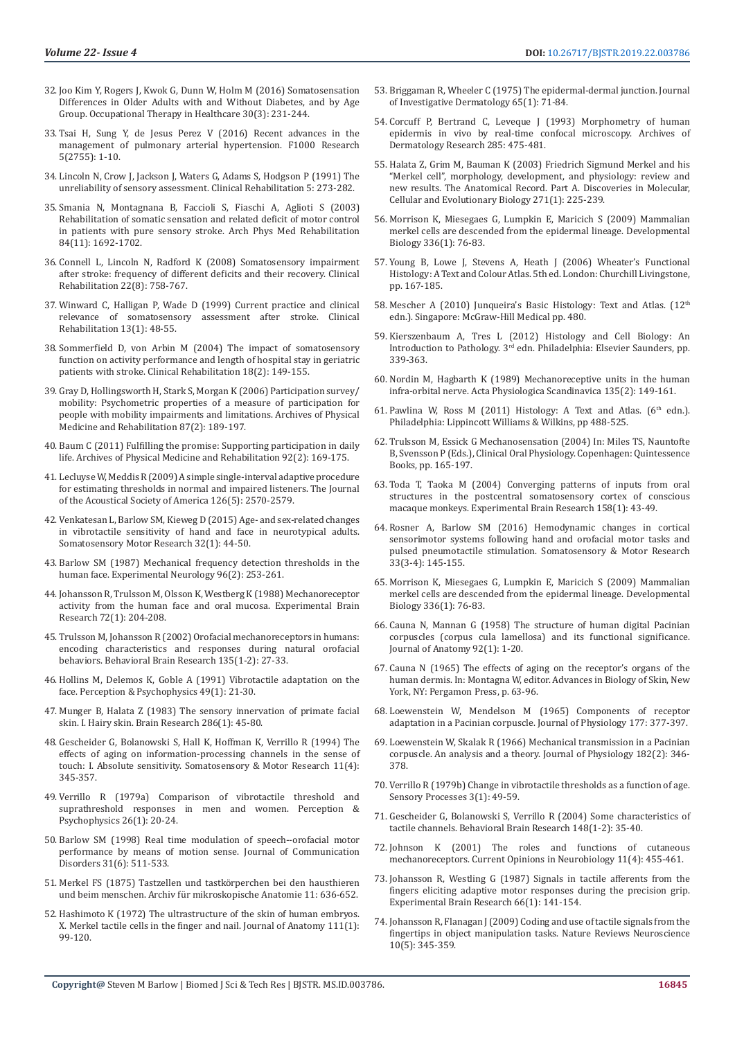- 32. [Joo Kim Y, Rogers J, Kwok G, Dunn W, Holm M \(2016\) Somatosensation](https://www.ncbi.nlm.nih.gov/pubmed/26914066)  [Differences in Older Adults with and Without Diabetes, and by Age](https://www.ncbi.nlm.nih.gov/pubmed/26914066)  [Group. Occupational Therapy in Healthcare 30\(3\): 231-244.](https://www.ncbi.nlm.nih.gov/pubmed/26914066)
- 33. [Tsai H, Sung Y, de Jesus Perez V \(2016\) Recent advances in the](https://www.ncbi.nlm.nih.gov/pmc/articles/PMC5130072/)  [management of pulmonary arterial hypertension. F1000 Research](https://www.ncbi.nlm.nih.gov/pmc/articles/PMC5130072/)  [5\(2755\): 1-10.](https://www.ncbi.nlm.nih.gov/pmc/articles/PMC5130072/)
- 34. [Lincoln N, Crow J, Jackson J, Waters G, Adams S, Hodgson P \(1991\) The](https://journals.sagepub.com/doi/10.1177/026921559100500403)  [unreliability of sensory assessment. Clinical Rehabilitation 5: 273-282.](https://journals.sagepub.com/doi/10.1177/026921559100500403)
- 35. [Smania N, Montagnana B, Faccioli S, Fiaschi A, Aglioti S \(2003\)](https://www.ncbi.nlm.nih.gov/pubmed/14639572)  [Rehabilitation of somatic sensation and related deficit of motor control](https://www.ncbi.nlm.nih.gov/pubmed/14639572)  [in patients with pure sensory stroke. Arch Phys Med Rehabilitation](https://www.ncbi.nlm.nih.gov/pubmed/14639572)  [84\(11\): 1692-1702.](https://www.ncbi.nlm.nih.gov/pubmed/14639572)
- 36. [Connell L, Lincoln N, Radford K \(2008\) Somatosensory impairment](https://www.ncbi.nlm.nih.gov/pubmed/18678576)  [after stroke: frequency of different deficits and their recovery. Clinical](https://www.ncbi.nlm.nih.gov/pubmed/18678576)  [Rehabilitation 22\(8\): 758-767.](https://www.ncbi.nlm.nih.gov/pubmed/18678576)
- 37. [Winward C, Halligan P, Wade D \(1999\) Current practice and clinical](https://www.ncbi.nlm.nih.gov/pubmed/10327097)  [relevance of somatosensory assessment after stroke. Clinical](https://www.ncbi.nlm.nih.gov/pubmed/10327097)  [Rehabilitation 13\(1\): 48-55.](https://www.ncbi.nlm.nih.gov/pubmed/10327097)
- 38. [Sommerfield D, von Arbin M \(2004\) The impact of somatosensory](https://www.ncbi.nlm.nih.gov/pubmed/15053123)  [function on activity performance and length of hospital stay in geriatric](https://www.ncbi.nlm.nih.gov/pubmed/15053123)  [patients with stroke. Clinical Rehabilitation 18\(2\): 149-155.](https://www.ncbi.nlm.nih.gov/pubmed/15053123)
- 39. [Gray D, Hollingsworth H, Stark S, Morgan K \(2006\) Participation survey/](https://www.ncbi.nlm.nih.gov/pubmed/16442971) [mobility: Psychometric properties of a measure of participation for](https://www.ncbi.nlm.nih.gov/pubmed/16442971)  [people with mobility impairments and limitations. Archives of Physical](https://www.ncbi.nlm.nih.gov/pubmed/16442971)  [Medicine and Rehabilitation 87\(2\): 189-197.](https://www.ncbi.nlm.nih.gov/pubmed/16442971)
- 40. [Baum C \(2011\) Fulfilling the promise: Supporting participation in daily](https://www.ncbi.nlm.nih.gov/pubmed/21272711)  [life. Archives of Physical Medicine and Rehabilitation 92\(2\): 169-175.](https://www.ncbi.nlm.nih.gov/pubmed/21272711)
- 41. [Lecluyse W, Meddis R \(2009\) A simple single-interval adaptive procedure](https://www.ncbi.nlm.nih.gov/pubmed/19894836)  [for estimating thresholds in normal and impaired listeners. The Journal](https://www.ncbi.nlm.nih.gov/pubmed/19894836)  [of the Acoustical Society of America 126\(5\): 2570-2579.](https://www.ncbi.nlm.nih.gov/pubmed/19894836)
- 42. [Venkatesan L, Barlow SM, Kieweg D \(2015\) Age- and sex-related changes](https://www.ncbi.nlm.nih.gov/pubmed/25248543)  [in vibrotactile sensitivity of hand and face in neurotypical adults.](https://www.ncbi.nlm.nih.gov/pubmed/25248543)  [Somatosensory Motor Research 32\(1\): 44-50.](https://www.ncbi.nlm.nih.gov/pubmed/25248543)
- 43. [Barlow SM \(1987\) Mechanical frequency detection thresholds in the](https://www.ncbi.nlm.nih.gov/pubmed/3569454)  [human face. Experimental Neurology 96\(2\): 253-261.](https://www.ncbi.nlm.nih.gov/pubmed/3569454)
- 44. [Johansson R, Trulsson M, Olsson K, Westberg K \(1988\) Mechanoreceptor](https://link.springer.com/article/10.1007/BF00248518/)  [activity from the human face and oral mucosa. Experimental Brain](https://link.springer.com/article/10.1007/BF00248518/)  [Research 72\(1\): 204-208.](https://link.springer.com/article/10.1007/BF00248518/)
- 45. [Trulsson M, Johansson R \(2002\) Orofacial mechanoreceptors in humans:](https://www.ncbi.nlm.nih.gov/pubmed/12356430)  [encoding characteristics and responses during natural orofacial](https://www.ncbi.nlm.nih.gov/pubmed/12356430)  [behaviors. Behavioral Brain Research 135\(1-2\): 27-33.](https://www.ncbi.nlm.nih.gov/pubmed/12356430)
- 46. [Hollins M, Delemos K, Goble A \(1991\) Vibrotactile adaptation on the](https://link.springer.com/article/10.3758/BF03211612)  [face. Perception & Psychophysics 49\(1\): 21-30.](https://link.springer.com/article/10.3758/BF03211612)
- 47. [Munger B, Halata Z \(1983\) The sensory innervation of primate facial](https://www.sciencedirect.com/science/article/pii/0165017383900218)  [skin. I. Hairy skin. Brain Research 286\(1\): 45-80.](https://www.sciencedirect.com/science/article/pii/0165017383900218)
- 48. [Gescheider G, Bolanowski S, Hall K, Hoffman K, Verrillo R \(1994\) The](https://www.ncbi.nlm.nih.gov/pubmed/7778411)  [effects of aging on information-processing channels in the sense of](https://www.ncbi.nlm.nih.gov/pubmed/7778411)  [touch: I. Absolute sensitivity. Somatosensory & Motor Research 11\(4\):](https://www.ncbi.nlm.nih.gov/pubmed/7778411)  [345-357.](https://www.ncbi.nlm.nih.gov/pubmed/7778411)
- 49. [Verrillo R \(1979a\) Comparison of vibrotactile threshold and](https://link.springer.com/article/10.3758/BF03199857)  [suprathreshold responses in men and women. Perception &](https://link.springer.com/article/10.3758/BF03199857)  [Psychophysics 26\(1\): 20-24.](https://link.springer.com/article/10.3758/BF03199857)
- 50. [Barlow SM \(1998\) Real time modulation of speech--orofacial motor](https://www.ncbi.nlm.nih.gov/pubmed/9836140)  [performance by means of motion sense. Journal of Communication](https://www.ncbi.nlm.nih.gov/pubmed/9836140)  [Disorders 31\(6\): 511-533.](https://www.ncbi.nlm.nih.gov/pubmed/9836140)
- 51. [Merkel FS \(1875\) Tastzellen und tastkörperchen bei den hausthieren](https://link.springer.com/article/10.1007/BF02933819)  [und beim menschen. Archiv für mikroskopische Anatomie 11: 636-652.](https://link.springer.com/article/10.1007/BF02933819)
- 52. [Hashimoto K \(1972\) The ultrastructure of the skin of human embryos.](https://www.ncbi.nlm.nih.gov/pmc/articles/PMC1271116/)  [X. Merkel tactile cells in the finger and nail. Journal of Anatomy 111\(1\):](https://www.ncbi.nlm.nih.gov/pmc/articles/PMC1271116/)  [99-120.](https://www.ncbi.nlm.nih.gov/pmc/articles/PMC1271116/)
- 53. [Briggaman R, Wheeler C \(1975\) The epidermal-dermal junction. Journal](https://www.ncbi.nlm.nih.gov/pubmed/1097542) [of Investigative Dermatology 65\(1\): 71-84.](https://www.ncbi.nlm.nih.gov/pubmed/1097542)
- 54. [Corcuff P, Bertrand C, Leveque J \(1993\) Morphometry of human](https://link.springer.com/article/10.1007/BF00376820) [epidermis in vivo by real-time confocal microscopy. Archives of](https://link.springer.com/article/10.1007/BF00376820) [Dermatology Research 285: 475-481.](https://link.springer.com/article/10.1007/BF00376820)
- 55. [Halata Z, Grim M, Bauman K \(2003\) Friedrich Sigmund Merkel and his](https://www.ncbi.nlm.nih.gov/pubmed/12552639) ["Merkel cell", morphology, development, and physiology: review and](https://www.ncbi.nlm.nih.gov/pubmed/12552639) [new results. The Anatomical Record. Part A. Discoveries in Molecular,](https://www.ncbi.nlm.nih.gov/pubmed/12552639) [Cellular and Evolutionary Biology 271\(1\): 225-239.](https://www.ncbi.nlm.nih.gov/pubmed/12552639)
- 56. [Morrison K, Miesegaes G, Lumpkin E, Maricich S \(2009\) Mammalian](https://www.ncbi.nlm.nih.gov/pubmed/19782676) [merkel cells are descended from the epidermal lineage. Developmental](https://www.ncbi.nlm.nih.gov/pubmed/19782676) [Biology 336\(1\): 76-83.](https://www.ncbi.nlm.nih.gov/pubmed/19782676)
- 57. [Young B, Lowe J, Stevens A, Heath J \(2006\) Wheater's Functional](https://www.elsevier.com/books/wheaters-functional-histology/young/978-0-7020-4747-3) [Histology: A Text and Colour Atlas. 5th ed. London: Churchill Livingstone,](https://www.elsevier.com/books/wheaters-functional-histology/young/978-0-7020-4747-3) [pp. 167-185.](https://www.elsevier.com/books/wheaters-functional-histology/young/978-0-7020-4747-3)
- 58. [Mescher A \(2010\) Junqueira's Basic Histology: Text and Atlas. \(12th](https://www.researchgate.net/publication/283490690_Junqueira) [edn.\). Singapore: McGraw-Hill Medical pp. 480.](https://www.researchgate.net/publication/283490690_Junqueira)
- 59. Kierszenbaum A, Tres L (2012) Histology and Cell Biology: An Introduction to Pathology. 3rd edn. Philadelphia: Elsevier Saunders, pp. 339-363.
- 60. [Nordin M, Hagbarth K \(1989\) Mechanoreceptive units in the human](https://www.ncbi.nlm.nih.gov/pubmed/2922999) [infra-orbital nerve. Acta Physiologica Scandinavica 135\(2\): 149-161.](https://www.ncbi.nlm.nih.gov/pubmed/2922999)
- 61. Pawlina W, Ross M (2011) Histology: A Text and Atlas. ( $6<sup>th</sup>$  edn.). Philadelphia: Lippincott Williams & Wilkins, pp 488-525.
- 62. Trulsson M, Essick G Mechanosensation (2004) In: Miles TS, Nauntofte B, Svensson P (Eds.), Clinical Oral Physiology. Copenhagen: Quintessence Books, pp. 165-197.
- 63. [Toda T, Taoka M \(2004\) Converging patterns of inputs from oral](https://www.ncbi.nlm.nih.gov/pubmed/15014923) [structures in the postcentral somatosensory cortex of conscious](https://www.ncbi.nlm.nih.gov/pubmed/15014923) [macaque monkeys. Experimental Brain Research 158\(1\): 43-49.](https://www.ncbi.nlm.nih.gov/pubmed/15014923)
- 64. [Rosner A, Barlow SM \(2016\) Hemodynamic changes in cortical](https://www.ncbi.nlm.nih.gov/pubmed/27550186) [sensorimotor systems following hand and orofacial motor tasks and](https://www.ncbi.nlm.nih.gov/pubmed/27550186) [pulsed pneumotactile stimulation. Somatosensory & Motor Research](https://www.ncbi.nlm.nih.gov/pubmed/27550186) [33\(3-4\): 145-155.](https://www.ncbi.nlm.nih.gov/pubmed/27550186)
- 65. Morrison K, Miesegaes G, Lumpkin E, Maricich S (2009) Mammalian merkel cells are descended from the epidermal lineage. Developmental Biology 336(1): 76-83.
- 66. [Cauna N, Mannan G \(1958\) The structure of human digital Pacinian](https://www.ncbi.nlm.nih.gov/pmc/articles/PMC1244958/) [corpuscles \(corpus cula lamellosa\) and its functional significance.](https://www.ncbi.nlm.nih.gov/pmc/articles/PMC1244958/) [Journal of Anatomy 92\(1\): 1-20.](https://www.ncbi.nlm.nih.gov/pmc/articles/PMC1244958/)
- 67. Cauna N (1965) The effects of aging on the receptor's organs of the human dermis. In: Montagna W, editor. Advances in Biology of Skin, New York, NY: Pergamon Press, p. 63-96.
- 68. [Loewenstein W, Mendelson M \(1965\) Components of receptor](https://www.ncbi.nlm.nih.gov/pubmed/14321486) [adaptation in a Pacinian corpuscle. Journal of Physiology 177: 377-397.](https://www.ncbi.nlm.nih.gov/pubmed/14321486)
- 69. [Loewenstein W, Skalak R \(1966\) Mechanical transmission in a Pacinian](https://www.ncbi.nlm.nih.gov/pubmed/5942033) [corpuscle. An analysis and a theory. Journal of Physiology 182\(2\): 346-](https://www.ncbi.nlm.nih.gov/pubmed/5942033) [378.](https://www.ncbi.nlm.nih.gov/pubmed/5942033)
- 70. [Verrillo R \(1979b\) Change in vibrotactile thresholds as a function of age.](https://www.ncbi.nlm.nih.gov/pubmed/515740) [Sensory Processes 3\(1\): 49-59.](https://www.ncbi.nlm.nih.gov/pubmed/515740)
- 71. [Gescheider G, Bolanowski S, Verrillo R \(2004\) Some characteristics of](https://www.ncbi.nlm.nih.gov/pubmed/14684245) [tactile channels. Behavioral Brain Research 148\(1-2\): 35-40.](https://www.ncbi.nlm.nih.gov/pubmed/14684245)
- 72. [Johnson K \(2001\) The roles and functions of cutaneous](https://www.ncbi.nlm.nih.gov/pubmed/11502392) [mechanoreceptors. Current Opinions in Neurobiology 11\(4\): 455-461.](https://www.ncbi.nlm.nih.gov/pubmed/11502392)
- 73. [Johansson R, Westling G \(1987\) Signals in tactile afferents from the](https://link.springer.com/article/10.1007/BF00236210) [fingers eliciting adaptive motor responses during the precision grip.](https://link.springer.com/article/10.1007/BF00236210) [Experimental Brain Research 66\(1\): 141-154.](https://link.springer.com/article/10.1007/BF00236210)
- 74. [Johansson R, Flanagan J \(2009\) Coding and use of tactile signals from the](https://www.nature.com/articles/nrn2621) [fingertips in object manipulation tasks. Nature Reviews Neuroscience](https://www.nature.com/articles/nrn2621) [10\(5\): 345-359.](https://www.nature.com/articles/nrn2621)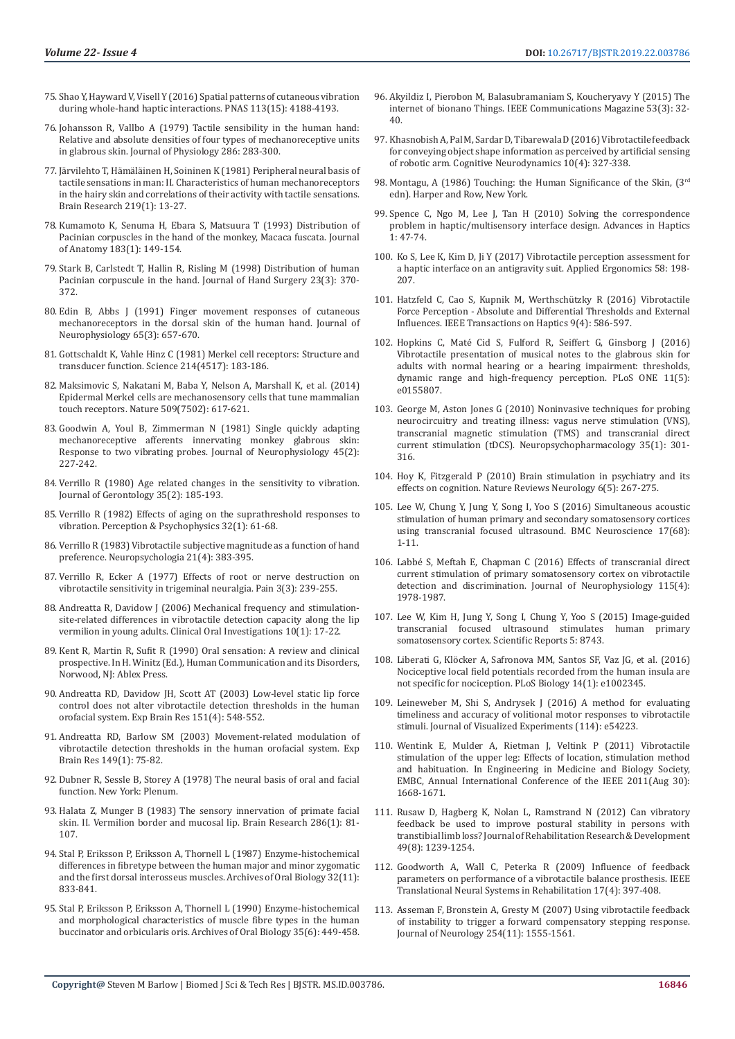- 75. [Shao Y, Hayward V, Visell Y \(2016\) Spatial patterns of cutaneous vibration](https://www.ncbi.nlm.nih.gov/pubmed/27035957)  [during whole-hand haptic interactions. PNAS 113\(15\): 4188-4193.](https://www.ncbi.nlm.nih.gov/pubmed/27035957)
- 76. [Johansson R, Vallbo A \(1979\) Tactile sensibility in the human hand:](https://www.ncbi.nlm.nih.gov/pmc/articles/PMC1281571/)  [Relative and absolute densities of four types of mechanoreceptive units](https://www.ncbi.nlm.nih.gov/pmc/articles/PMC1281571/)  [in glabrous skin. Journal of Physiology 286: 283-300.](https://www.ncbi.nlm.nih.gov/pmc/articles/PMC1281571/)
- 77. [Järvilehto T, Hämäläinen H, Soininen K \(1981\) Peripheral neural basis of](https://www.ncbi.nlm.nih.gov/pubmed/7260622)  [tactile sensations in man: II. Characteristics of human mechanoreceptors](https://www.ncbi.nlm.nih.gov/pubmed/7260622)  [in the hairy skin and correlations of their activity with tactile sensations.](https://www.ncbi.nlm.nih.gov/pubmed/7260622)  [Brain Research 219\(1\): 13-27.](https://www.ncbi.nlm.nih.gov/pubmed/7260622)
- 78. [Kumamoto K, Senuma H, Ebara S, Matsuura T \(1993\) Distribution of](https://www.ncbi.nlm.nih.gov/pmc/articles/PMC1259863/)  [Pacinian corpuscles in the hand of the monkey, Macaca fuscata. Journal](https://www.ncbi.nlm.nih.gov/pmc/articles/PMC1259863/)  [of Anatomy 183\(1\): 149-154.](https://www.ncbi.nlm.nih.gov/pmc/articles/PMC1259863/)
- 79. [Stark B, Carlstedt T, Hallin R, Risling M \(1998\) Distribution of human](https://www.sciencedirect.com/science/article/abs/pii/S0266768198800600)  [Pacinian corpuscule in the hand. Journal of Hand Surgery 23\(3\): 370-](https://www.sciencedirect.com/science/article/abs/pii/S0266768198800600) [372.](https://www.sciencedirect.com/science/article/abs/pii/S0266768198800600)
- 80. [Edin B, Abbs J \(1991\) Finger movement responses of cutaneous](https://www.ncbi.nlm.nih.gov/pubmed/2051199)  [mechanoreceptors in the dorsal skin of the human hand. Journal of](https://www.ncbi.nlm.nih.gov/pubmed/2051199)  [Neurophysiology 65\(3\): 657-670.](https://www.ncbi.nlm.nih.gov/pubmed/2051199)
- 81. [Gottschaldt K, Vahle Hinz C \(1981\) Merkel cell receptors: Structure and](https://www.ncbi.nlm.nih.gov/pubmed/7280690)  [transducer function. Science 214\(4517\): 183-186.](https://www.ncbi.nlm.nih.gov/pubmed/7280690)
- 82. [Maksimovic S, Nakatani M, Baba Y, Nelson A, Marshall K, et al. \(2014\)](https://www.nature.com/articles/nature13250)  [Epidermal Merkel cells are mechanosensory cells that tune mammalian](https://www.nature.com/articles/nature13250)  [touch receptors. Nature 509\(7502\): 617-621.](https://www.nature.com/articles/nature13250)
- 83. [Goodwin A, Youl B, Zimmerman N \(1981\) Single quickly adapting](https://www.ncbi.nlm.nih.gov/pubmed/7463104)  [mechanoreceptive afferents innervating monkey glabrous skin:](https://www.ncbi.nlm.nih.gov/pubmed/7463104)  [Response to two vibrating probes. Journal of Neurophysiology 45\(2\):](https://www.ncbi.nlm.nih.gov/pubmed/7463104)  [227-242.](https://www.ncbi.nlm.nih.gov/pubmed/7463104)
- 84. [Verrillo R \(1980\) Age related changes in the sensitivity to vibration.](https://www.ncbi.nlm.nih.gov/pubmed/7410775)  [Journal of Gerontology 35\(2\): 185-193.](https://www.ncbi.nlm.nih.gov/pubmed/7410775)
- 85. [Verrillo R \(1982\) Effects of aging on the suprathreshold responses to](https://link.springer.com/article/10.3758/BF03204869)  [vibration. Perception & Psychophysics 32\(1\): 61-68.](https://link.springer.com/article/10.3758/BF03204869)
- 86. [Verrillo R \(1983\) Vibrotactile subjective magnitude as a function of hand](https://www.ncbi.nlm.nih.gov/pubmed/6621867)  [preference. Neuropsychologia 21\(4\): 383-395.](https://www.ncbi.nlm.nih.gov/pubmed/6621867)
- 87. [Verrillo R, Ecker A \(1977\) Effects of root or nerve destruction on](https://www.ncbi.nlm.nih.gov/pubmed/876675)  [vibrotactile sensitivity in trigeminal neuralgia. Pain 3\(3\): 239-255.](https://www.ncbi.nlm.nih.gov/pubmed/876675)
- 88. [Andreatta R, Davidow J \(2006\) Mechanical frequency and stimulation](https://www.ncbi.nlm.nih.gov/pubmed/16001228)[site-related differences in vibrotactile detection capacity along the lip](https://www.ncbi.nlm.nih.gov/pubmed/16001228)  [vermilion in young adults. Clinical Oral Investigations 10\(1\): 17-22.](https://www.ncbi.nlm.nih.gov/pubmed/16001228)
- 89. Kent R, Martin R, Sufit R (1990) Oral sensation: A review and clinical prospective. In H. Winitz (Ed.), Human Communication and its Disorders, Norwood, NJ: Ablex Press.
- 90. [Andreatta RD, Davidow JH, Scott AT \(2003\) Low-level static lip force](https://www.ncbi.nlm.nih.gov/pubmed/12838380)  [control does not alter vibrotactile detection thresholds in the human](https://www.ncbi.nlm.nih.gov/pubmed/12838380)  [orofacial system. Exp Brain Res 151\(4\): 548-552.](https://www.ncbi.nlm.nih.gov/pubmed/12838380)
- 91. [Andreatta RD, Barlow SM \(2003\) Movement-related modulation of](https://www.ncbi.nlm.nih.gov/pubmed/12592505)  [vibrotactile detection thresholds in the human orofacial system. Exp](https://www.ncbi.nlm.nih.gov/pubmed/12592505)  [Brain Res 149\(1\): 75-82.](https://www.ncbi.nlm.nih.gov/pubmed/12592505)
- 92. [Dubner R, Sessle B, Storey A \(1978\) The neural basis of oral and facial](https://www.springer.com/gp/book/9781475716849)  [function. New York: Plenum.](https://www.springer.com/gp/book/9781475716849)
- 93. [Halata Z, Munger B \(1983\) The sensory innervation of primate facial](https://psycnet.apa.org/record/1983-22825-001)  [skin. II. Vermilion border and mucosal lip. Brain Research 286\(1\): 81-](https://psycnet.apa.org/record/1983-22825-001) [107.](https://psycnet.apa.org/record/1983-22825-001)
- 94. [Stal P, Eriksson P, Eriksson A, Thornell L \(1987\) Enzyme-histochemical](https://www.sciencedirect.com/science/article/pii/0003996987900112)  [differences in fibretype between the human major and minor zygomatic](https://www.sciencedirect.com/science/article/pii/0003996987900112)  [and the first dorsal interosseus muscles. Archives of Oral Biology 32\(11\):](https://www.sciencedirect.com/science/article/pii/0003996987900112)  [833-841.](https://www.sciencedirect.com/science/article/pii/0003996987900112)
- 95. [Stal P, Eriksson P, Eriksson A, Thornell L \(1990\) Enzyme-histochemical](https://www.ncbi.nlm.nih.gov/pubmed/2142593)  [and morphological characteristics of muscle fibre types in the human](https://www.ncbi.nlm.nih.gov/pubmed/2142593)  [buccinator and orbicularis oris. Archives of Oral Biology 35\(6\): 449-458.](https://www.ncbi.nlm.nih.gov/pubmed/2142593)
- 96. [Akyildiz I, Pierobon M, Balasubramaniam S, Koucheryavy Y \(2015\) The](https://ieeexplore.ieee.org/document/7060516) [internet of bionano Things. IEEE Communications Magazine 53\(3\): 32-](https://ieeexplore.ieee.org/document/7060516) [40.](https://ieeexplore.ieee.org/document/7060516)
- 97. [Khasnobish A, Pal M, Sardar D, Tibarewala D \(2016\) Vibrotactile feedback](https://www.ncbi.nlm.nih.gov/pubmed/27468320) [for conveying object shape information as perceived by artificial sensing](https://www.ncbi.nlm.nih.gov/pubmed/27468320) [of robotic arm. Cognitive Neurodynamics 10\(4\): 327-338.](https://www.ncbi.nlm.nih.gov/pubmed/27468320)
- 98. Montagu, A (1986) Touching: the Human Significance of the Skin, (3rd edn). Harper and Row, New York.
- 99. [Spence C, Ngo M, Lee J, Tan H \(2010\) Solving the correspondence](https://www.intechopen.com/books/advances-in-haptics/solving-the-correspondence-problem-in-haptic-multisensory-interface-design) [problem in haptic/multisensory interface design. Advances in Haptics](https://www.intechopen.com/books/advances-in-haptics/solving-the-correspondence-problem-in-haptic-multisensory-interface-design) [1: 47-74.](https://www.intechopen.com/books/advances-in-haptics/solving-the-correspondence-problem-in-haptic-multisensory-interface-design)
- 100. [Ko S, Lee K, Kim D, Ji Y \(2017\) Vibrotactile perception assessment for](https://www.sciencedirect.com/science/article/abs/pii/S0003687016301247) [a haptic interface on an antigravity suit. Applied Ergonomics 58: 198-](https://www.sciencedirect.com/science/article/abs/pii/S0003687016301247) [207.](https://www.sciencedirect.com/science/article/abs/pii/S0003687016301247)
- 101. [Hatzfeld C, Cao S, Kupnik M, Werthschützky R \(2016\) Vibrotactile](https://www.ncbi.nlm.nih.gov/pubmed/27244751) [Force Perception - Absolute and Differential Thresholds and External](https://www.ncbi.nlm.nih.gov/pubmed/27244751) [Influences. IEEE Transactions on Haptics 9\(4\): 586-597.](https://www.ncbi.nlm.nih.gov/pubmed/27244751)
- 102. [Hopkins C, Maté Cid S, Fulford R, Seiffert G, Ginsborg J \(2016\)](https://www.ncbi.nlm.nih.gov/pubmed/27191400) [Vibrotactile presentation of musical notes to the glabrous skin for](https://www.ncbi.nlm.nih.gov/pubmed/27191400) [adults with normal hearing or a hearing impairment: thresholds,](https://www.ncbi.nlm.nih.gov/pubmed/27191400) [dynamic range and high-frequency perception. PLoS ONE 11\(5\):](https://www.ncbi.nlm.nih.gov/pubmed/27191400) [e0155807.](https://www.ncbi.nlm.nih.gov/pubmed/27191400)
- 103. George M, Aston Jones G (2010) Noninvasive techniques for probing neurocircuitry and treating illness: vagus nerve stimulation (VNS), transcranial magnetic stimulation (TMS) and transcranial direct current stimulation (tDCS). Neuropsychopharmacology 35(1): 301- 316.
- 104. [Hoy K, Fitzgerald P \(2010\) Brain stimulation in psychiatry and its](https://www.ncbi.nlm.nih.gov/pubmed/20368742) [effects on cognition. Nature Reviews Neurology 6\(5\): 267-275.](https://www.ncbi.nlm.nih.gov/pubmed/20368742)
- 105. [Lee W, Chung Y, Jung Y, Song I, Yoo S \(2016\) Simultaneous acoustic](https://www.ncbi.nlm.nih.gov/pubmed/27784293) [stimulation of human primary and secondary somatosensory cortices](https://www.ncbi.nlm.nih.gov/pubmed/27784293) [using transcranial focused ultrasound. BMC Neuroscience 17\(68\):](https://www.ncbi.nlm.nih.gov/pubmed/27784293) [1-11.](https://www.ncbi.nlm.nih.gov/pubmed/27784293)
- 106. [Labbé S, Meftah E, Chapman C \(2016\) Effects of transcranial direct](https://www.ncbi.nlm.nih.gov/pubmed/26864757) [current stimulation of primary somatosensory cortex on vibrotactile](https://www.ncbi.nlm.nih.gov/pubmed/26864757) [detection and discrimination. Journal of Neurophysiology 115\(4\):](https://www.ncbi.nlm.nih.gov/pubmed/26864757) [1978-1987.](https://www.ncbi.nlm.nih.gov/pubmed/26864757)
- 107. [Lee W, Kim H, Jung Y, Song I, Chung Y, Yoo S \(2015\) Image-guided](https://www.ncbi.nlm.nih.gov/pubmed/25735418) [transcranial focused ultrasound stimulates human primary](https://www.ncbi.nlm.nih.gov/pubmed/25735418) [somatosensory cortex. Scientific Reports 5: 8743.](https://www.ncbi.nlm.nih.gov/pubmed/25735418)
- 108. [Liberati G, Klöcker A, Safronova MM, Santos SF, Vaz JG, et al. \(2016\)](https://journals.plos.org/plosbiology/article?id=10.1371/journal.pbio.1002345) [Nociceptive local field potentials recorded from the human insula are](https://journals.plos.org/plosbiology/article?id=10.1371/journal.pbio.1002345) [not specific for nociception. PLoS Biology 14\(1\): e1002345.](https://journals.plos.org/plosbiology/article?id=10.1371/journal.pbio.1002345)
- 109. [Leineweber M, Shi S, Andrysek J \(2016\) A method for evaluating](https://www.ncbi.nlm.nih.gov/pubmed/27585366) [timeliness and accuracy of volitional motor responses to vibrotactile](https://www.ncbi.nlm.nih.gov/pubmed/27585366) [stimuli. Journal of Visualized Experiments \(114\): e54223.](https://www.ncbi.nlm.nih.gov/pubmed/27585366)
- 110. [Wentink E, Mulder A, Rietman J, Veltink P \(2011\) Vibrotactile](https://www.ncbi.nlm.nih.gov/pubmed/22254645) [stimulation of the upper leg: Effects of location, stimulation method](https://www.ncbi.nlm.nih.gov/pubmed/22254645) [and habituation. In Engineering in Medicine and Biology Society,](https://www.ncbi.nlm.nih.gov/pubmed/22254645) [EMBC, Annual International Conference of the IEEE 2011\(Aug 30\):](https://www.ncbi.nlm.nih.gov/pubmed/22254645) [1668-1671.](https://www.ncbi.nlm.nih.gov/pubmed/22254645)
- 111. [Rusaw D, Hagberg K, Nolan L, Ramstrand N \(2012\) Can vibratory](https://www.ncbi.nlm.nih.gov/pubmed/23341316) [feedback be used to improve postural stability in persons with](https://www.ncbi.nlm.nih.gov/pubmed/23341316) [transtibial limb loss? Journal of Rehabilitation Research & Development](https://www.ncbi.nlm.nih.gov/pubmed/23341316) [49\(8\): 1239-1254.](https://www.ncbi.nlm.nih.gov/pubmed/23341316)
- 112. [Goodworth A, Wall C, Peterka R \(2009\) Influence of feedback](https://www.ncbi.nlm.nih.gov/pmc/articles/PMC2726898/) [parameters on performance of a vibrotactile balance prosthesis. IEEE](https://www.ncbi.nlm.nih.gov/pmc/articles/PMC2726898/) [Translational Neural Systems in Rehabilitation 17\(4\): 397-408.](https://www.ncbi.nlm.nih.gov/pmc/articles/PMC2726898/)
- 113. [Asseman F, Bronstein A, Gresty M \(2007\) Using vibrotactile feedback](https://www.ncbi.nlm.nih.gov/pubmed/17641814) [of instability to trigger a forward compensatory stepping response.](https://www.ncbi.nlm.nih.gov/pubmed/17641814) [Journal of Neurology 254\(11\): 1555-1561.](https://www.ncbi.nlm.nih.gov/pubmed/17641814)